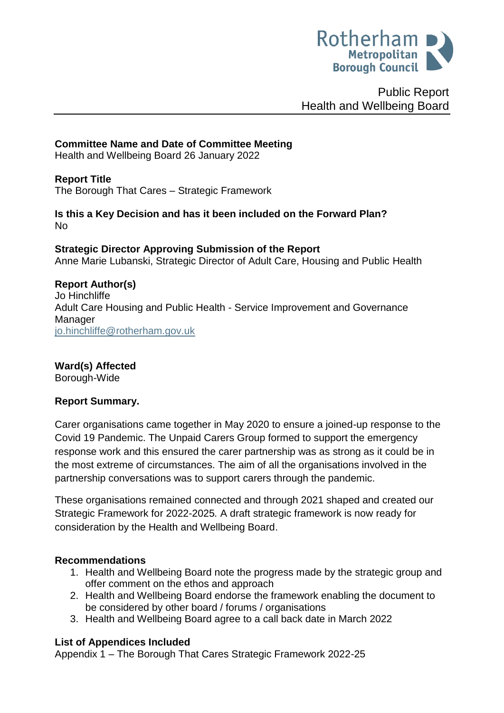

Public Report Health and Wellbeing Board

# **Committee Name and Date of Committee Meeting**

Health and Wellbeing Board 26 January 2022

## **Report Title**

<span id="page-0-0"></span>The Borough That Cares – Strategic Framework

**Is this a Key Decision and has it been included on the Forward Plan?**  No

**Strategic Director Approving Submission of the Report** Anne Marie Lubanski, Strategic Director of Adult Care, Housing and Public Health

# **Report Author(s)**

<span id="page-0-1"></span>Jo Hinchliffe Adult Care Housing and Public Health - Service Improvement and Governance Manager [jo.hinchliffe@rotherham.gov.uk](mailto:jo.hinchliffe@rotherham.gov.uk)

## **Ward(s) Affected**

Borough-Wide

## **Report Summary.**

Carer organisations came together in May 2020 to ensure a joined-up response to the Covid 19 Pandemic. The Unpaid Carers Group formed to support the emergency response work and this ensured the carer partnership was as strong as it could be in the most extreme of circumstances. The aim of all the organisations involved in the partnership conversations was to support carers through the pandemic.

These organisations remained connected and through 2021 shaped and created our Strategic Framework for 2022-2025*.* A draft strategic framework is now ready for consideration by the Health and Wellbeing Board.

## **Recommendations**

- 1. Health and Wellbeing Board note the progress made by the strategic group and offer comment on the ethos and approach
- 2. Health and Wellbeing Board endorse the framework enabling the document to be considered by other board / forums / organisations
- 3. Health and Wellbeing Board agree to a call back date in March 2022

# **List of Appendices Included**

Appendix 1 – The Borough That Cares Strategic Framework 2022-25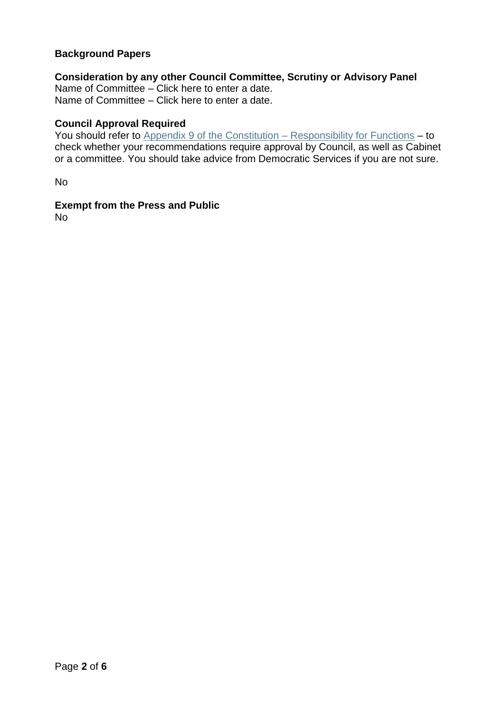## **Background Papers**

# **Consideration by any other Council Committee, Scrutiny or Advisory Panel**

Name of Committee – Click here to enter a date. Name of Committee – Click here to enter a date.

#### **Council Approval Required**

You should refer to [Appendix 9 of the Constitution –](http://www.rotherham.gov.uk/downloads/file/302/appendix_9_-_scheme_of_delegation_-_may_2018) Responsibility for Functions – to check whether your recommendations require approval by Council, as well as Cabinet or a committee. You should take advice from Democratic Services if you are not sure.

No

## **Exempt from the Press and Public**

No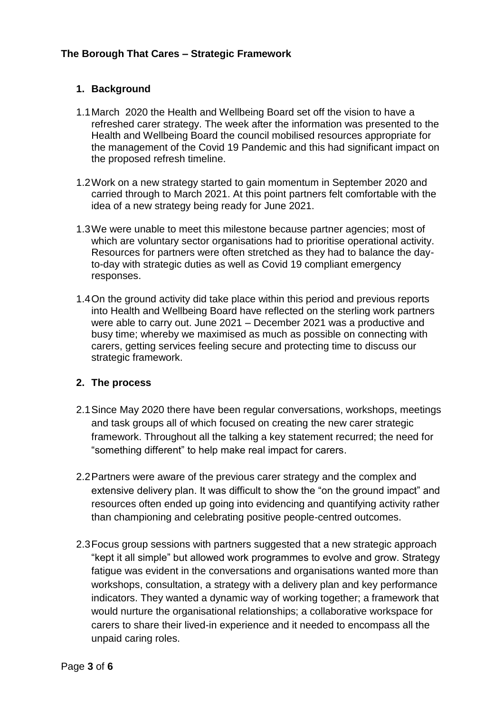# **[The Borough That Cares –](#page-0-0) Strategic Framework**

# **1. Background**

- 1.1March 2020 the Health and Wellbeing Board set off the vision to have a refreshed carer strategy. The week after the information was presented to the Health and Wellbeing Board the council mobilised resources appropriate for the management of the Covid 19 Pandemic and this had significant impact on the proposed refresh timeline.
- 1.2Work on a new strategy started to gain momentum in September 2020 and carried through to March 2021. At this point partners felt comfortable with the idea of a new strategy being ready for June 2021.
- 1.3We were unable to meet this milestone because partner agencies; most of which are voluntary sector organisations had to prioritise operational activity. Resources for partners were often stretched as they had to balance the dayto-day with strategic duties as well as Covid 19 compliant emergency responses.
- 1.4On the ground activity did take place within this period and previous reports into Health and Wellbeing Board have reflected on the sterling work partners were able to carry out. June 2021 – December 2021 was a productive and busy time; whereby we maximised as much as possible on connecting with carers, getting services feeling secure and protecting time to discuss our strategic framework.

## **2. The process**

- 2.1Since May 2020 there have been regular conversations, workshops, meetings and task groups all of which focused on creating the new carer strategic framework. Throughout all the talking a key statement recurred; the need for "something different" to help make real impact for carers.
- 2.2Partners were aware of the previous carer strategy and the complex and extensive delivery plan. It was difficult to show the "on the ground impact" and resources often ended up going into evidencing and quantifying activity rather than championing and celebrating positive people-centred outcomes.
- 2.3Focus group sessions with partners suggested that a new strategic approach "kept it all simple" but allowed work programmes to evolve and grow. Strategy fatigue was evident in the conversations and organisations wanted more than workshops, consultation, a strategy with a delivery plan and key performance indicators. They wanted a dynamic way of working together; a framework that would nurture the organisational relationships; a collaborative workspace for carers to share their lived-in experience and it needed to encompass all the unpaid caring roles.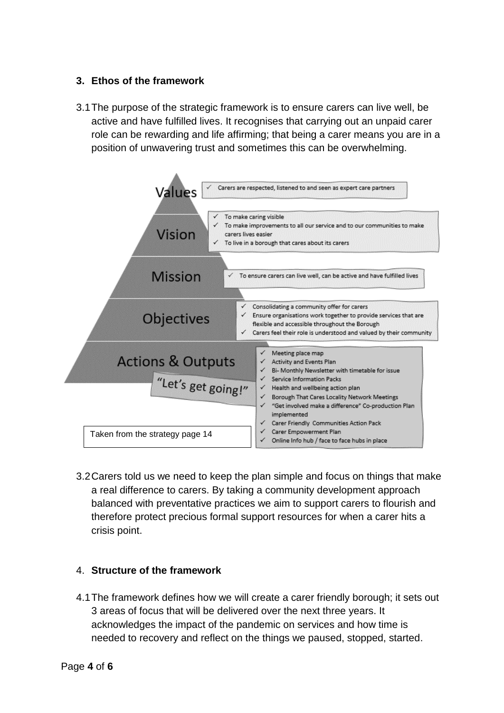# **3. Ethos of the framework**

3.1The purpose of the strategic framework is to ensure carers can live well, be active and have fulfilled lives. It recognises that carrying out an unpaid carer role can be rewarding and life affirming; that being a carer means you are in a position of unwavering trust and sometimes this can be overwhelming.



3.2Carers told us we need to keep the plan simple and focus on things that make a real difference to carers. By taking a community development approach balanced with preventative practices we aim to support carers to flourish and therefore protect precious formal support resources for when a carer hits a crisis point.

## 4. **Structure of the framework**

4.1The framework defines how we will create a carer friendly borough; it sets out 3 areas of focus that will be delivered over the next three years. It acknowledges the impact of the pandemic on services and how time is needed to recovery and reflect on the things we paused, stopped, started.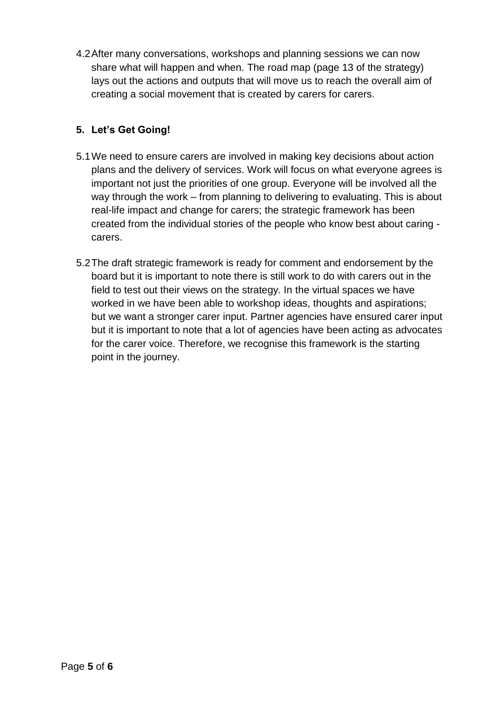4.2After many conversations, workshops and planning sessions we can now share what will happen and when. The road map (page 13 of the strategy) lays out the actions and outputs that will move us to reach the overall aim of creating a social movement that is created by carers for carers.

# **5. Let's Get Going!**

- 5.1We need to ensure carers are involved in making key decisions about action plans and the delivery of services. Work will focus on what everyone agrees is important not just the priorities of one group. Everyone will be involved all the way through the work – from planning to delivering to evaluating. This is about real-life impact and change for carers; the strategic framework has been created from the individual stories of the people who know best about caring carers.
- 5.2The draft strategic framework is ready for comment and endorsement by the board but it is important to note there is still work to do with carers out in the field to test out their views on the strategy. In the virtual spaces we have worked in we have been able to workshop ideas, thoughts and aspirations; but we want a stronger carer input. Partner agencies have ensured carer input but it is important to note that a lot of agencies have been acting as advocates for the carer voice. Therefore, we recognise this framework is the starting point in the journey.